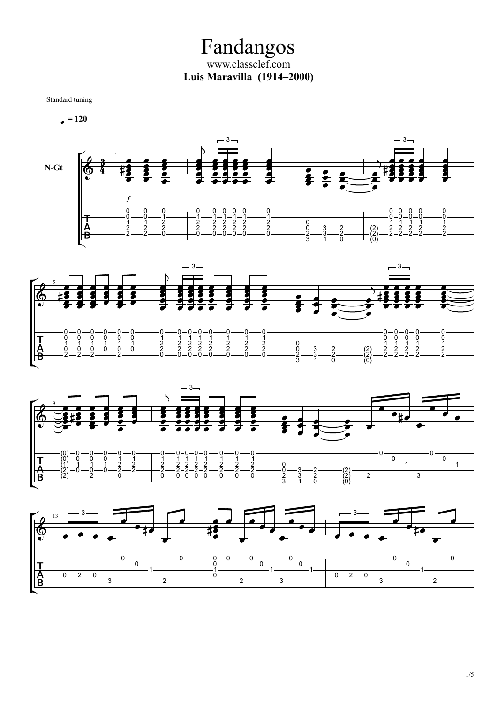Fandangos www.classclef.com **Luis Maravilla (1914–2000)**

Standard tuning

$$
\blacksquare = 120
$$







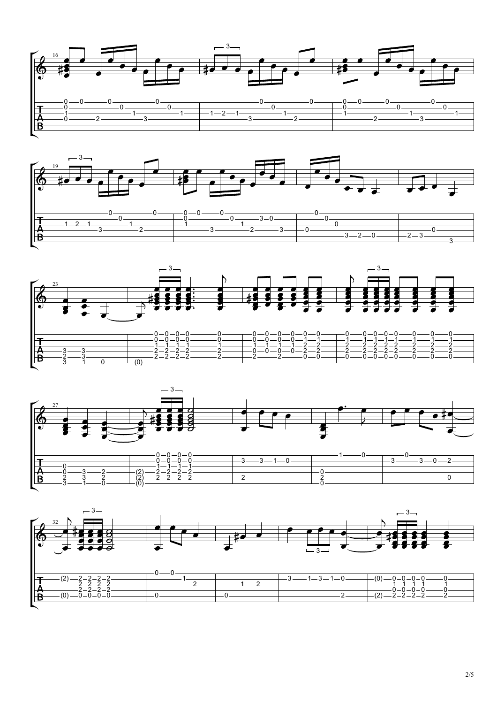







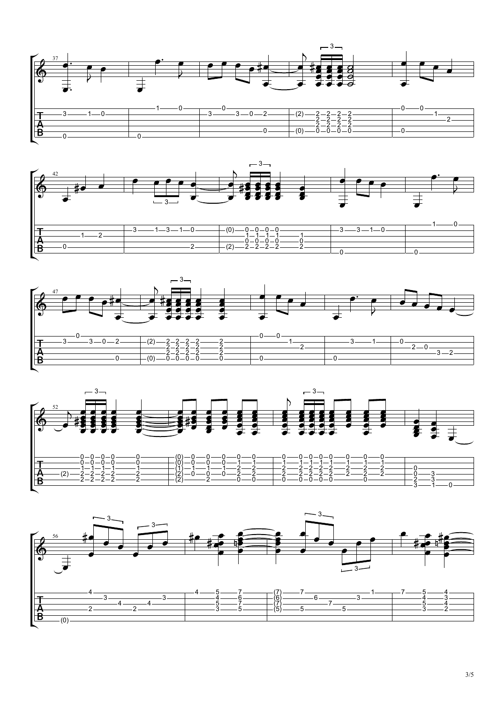







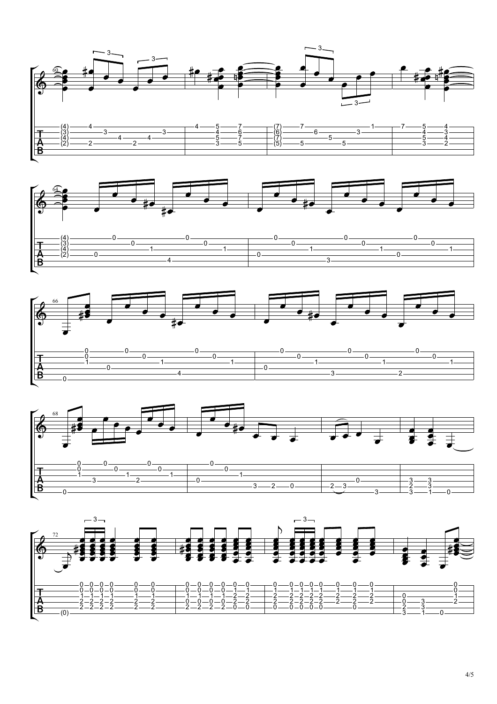